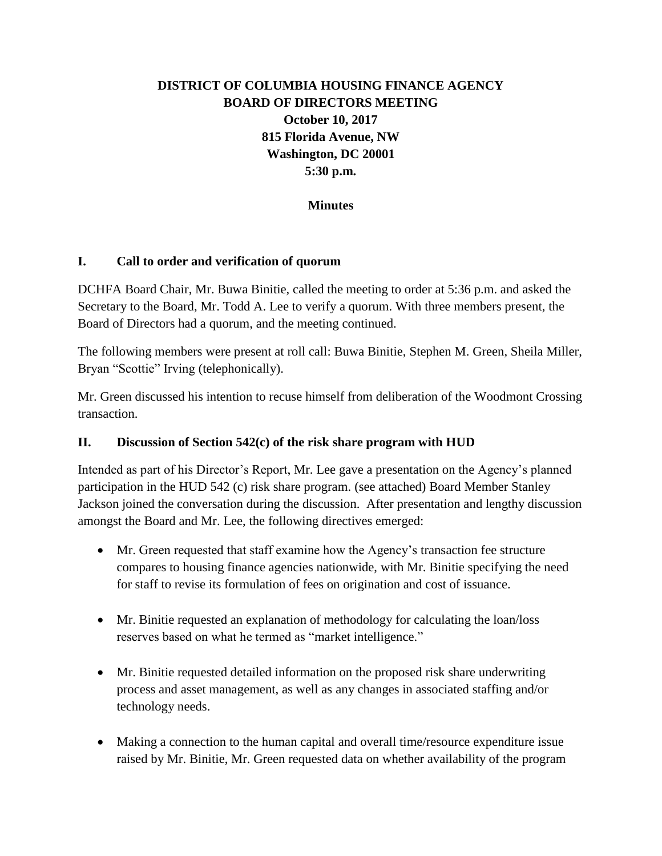# **DISTRICT OF COLUMBIA HOUSING FINANCE AGENCY BOARD OF DIRECTORS MEETING October 10, 2017 815 Florida Avenue, NW Washington, DC 20001 5:30 p.m.**

#### **Minutes**

#### **I. Call to order and verification of quorum**

DCHFA Board Chair, Mr. Buwa Binitie, called the meeting to order at 5:36 p.m. and asked the Secretary to the Board, Mr. Todd A. Lee to verify a quorum. With three members present, the Board of Directors had a quorum, and the meeting continued.

The following members were present at roll call: Buwa Binitie, Stephen M. Green, Sheila Miller, Bryan "Scottie" Irving (telephonically).

Mr. Green discussed his intention to recuse himself from deliberation of the Woodmont Crossing transaction.

#### **II. Discussion of Section 542(c) of the risk share program with HUD**

Intended as part of his Director's Report, Mr. Lee gave a presentation on the Agency's planned participation in the HUD 542 (c) risk share program. (see attached) Board Member Stanley Jackson joined the conversation during the discussion. After presentation and lengthy discussion amongst the Board and Mr. Lee, the following directives emerged:

- Mr. Green requested that staff examine how the Agency's transaction fee structure compares to housing finance agencies nationwide, with Mr. Binitie specifying the need for staff to revise its formulation of fees on origination and cost of issuance.
- Mr. Binitie requested an explanation of methodology for calculating the loan/loss reserves based on what he termed as "market intelligence."
- Mr. Binitie requested detailed information on the proposed risk share underwriting process and asset management, as well as any changes in associated staffing and/or technology needs.
- Making a connection to the human capital and overall time/resource expenditure issue raised by Mr. Binitie, Mr. Green requested data on whether availability of the program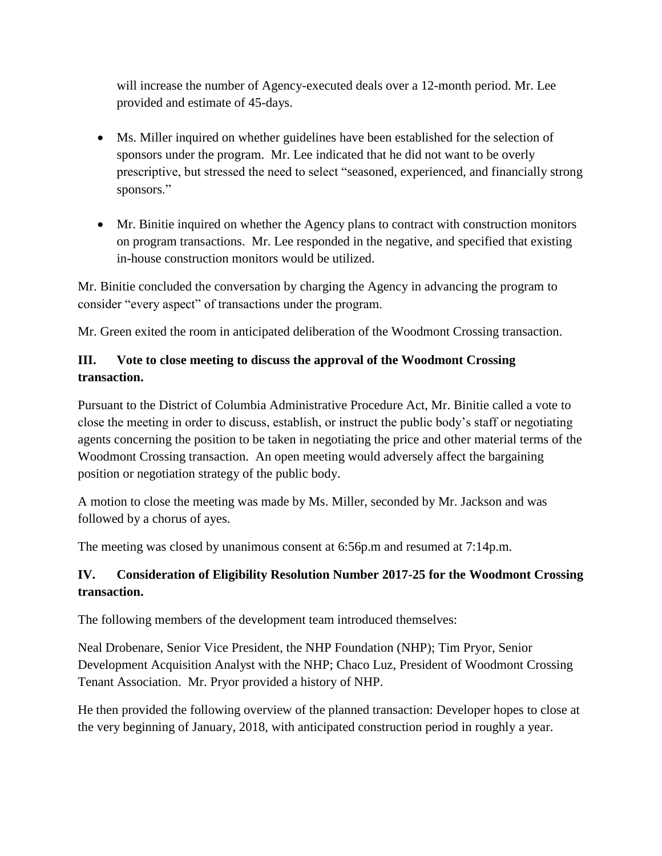will increase the number of Agency-executed deals over a 12-month period. Mr. Lee provided and estimate of 45-days.

- Ms. Miller inquired on whether guidelines have been established for the selection of sponsors under the program. Mr. Lee indicated that he did not want to be overly prescriptive, but stressed the need to select "seasoned, experienced, and financially strong sponsors."
- Mr. Binitie inquired on whether the Agency plans to contract with construction monitors on program transactions. Mr. Lee responded in the negative, and specified that existing in-house construction monitors would be utilized.

Mr. Binitie concluded the conversation by charging the Agency in advancing the program to consider "every aspect" of transactions under the program.

Mr. Green exited the room in anticipated deliberation of the Woodmont Crossing transaction.

#### **III. Vote to close meeting to discuss the approval of the Woodmont Crossing transaction.**

Pursuant to the District of Columbia Administrative Procedure Act, Mr. Binitie called a vote to close the meeting in order to discuss, establish, or instruct the public body's staff or negotiating agents concerning the position to be taken in negotiating the price and other material terms of the Woodmont Crossing transaction. An open meeting would adversely affect the bargaining position or negotiation strategy of the public body.

A motion to close the meeting was made by Ms. Miller, seconded by Mr. Jackson and was followed by a chorus of ayes.

The meeting was closed by unanimous consent at 6:56p.m and resumed at 7:14p.m.

# **IV. Consideration of Eligibility Resolution Number 2017-25 for the Woodmont Crossing transaction.**

The following members of the development team introduced themselves:

Neal Drobenare, Senior Vice President, the NHP Foundation (NHP); Tim Pryor, Senior Development Acquisition Analyst with the NHP; Chaco Luz, President of Woodmont Crossing Tenant Association. Mr. Pryor provided a history of NHP.

He then provided the following overview of the planned transaction: Developer hopes to close at the very beginning of January, 2018, with anticipated construction period in roughly a year.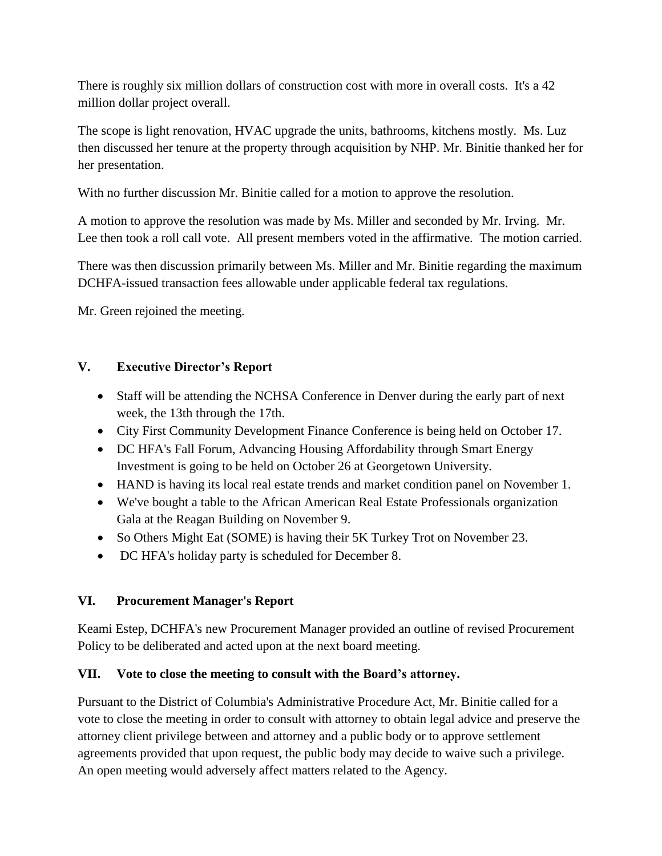There is roughly six million dollars of construction cost with more in overall costs. It's a 42 million dollar project overall.

The scope is light renovation, HVAC upgrade the units, bathrooms, kitchens mostly. Ms. Luz then discussed her tenure at the property through acquisition by NHP. Mr. Binitie thanked her for her presentation.

With no further discussion Mr. Binitie called for a motion to approve the resolution.

A motion to approve the resolution was made by Ms. Miller and seconded by Mr. Irving. Mr. Lee then took a roll call vote. All present members voted in the affirmative. The motion carried.

There was then discussion primarily between Ms. Miller and Mr. Binitie regarding the maximum DCHFA-issued transaction fees allowable under applicable federal tax regulations.

Mr. Green rejoined the meeting.

# **V. Executive Director's Report**

- Staff will be attending the NCHSA Conference in Denver during the early part of next week, the 13th through the 17th.
- City First Community Development Finance Conference is being held on October 17.
- DC HFA's Fall Forum, Advancing Housing Affordability through Smart Energy Investment is going to be held on October 26 at Georgetown University.
- HAND is having its local real estate trends and market condition panel on November 1.
- We've bought a table to the African American Real Estate Professionals organization Gala at the Reagan Building on November 9.
- So Others Might Eat (SOME) is having their 5K Turkey Trot on November 23.
- DC HFA's holiday party is scheduled for December 8.

# **VI. Procurement Manager's Report**

Keami Estep, DCHFA's new Procurement Manager provided an outline of revised Procurement Policy to be deliberated and acted upon at the next board meeting.

# **VII. Vote to close the meeting to consult with the Board's attorney.**

Pursuant to the District of Columbia's Administrative Procedure Act, Mr. Binitie called for a vote to close the meeting in order to consult with attorney to obtain legal advice and preserve the attorney client privilege between and attorney and a public body or to approve settlement agreements provided that upon request, the public body may decide to waive such a privilege. An open meeting would adversely affect matters related to the Agency.